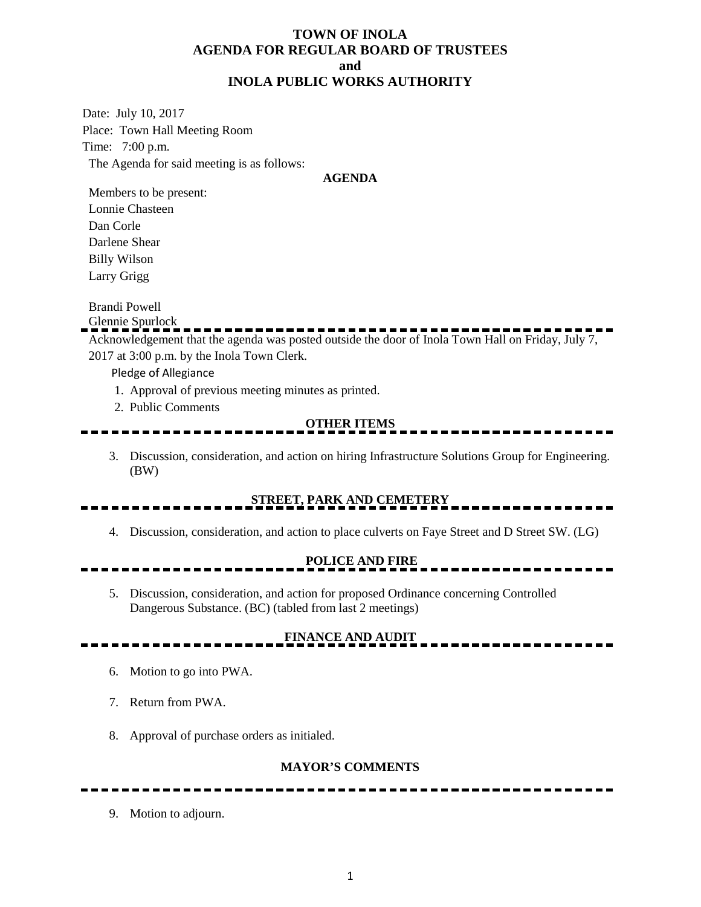### **TOWN OF INOLA AGENDA FOR REGULAR BOARD OF TRUSTEES and INOLA PUBLIC WORKS AUTHORITY**

Date: July 10, 2017 Place: Town Hall Meeting Room Time: 7:00 p.m. The Agenda for said meeting is as follows:

#### **AGENDA**

Members to be present: Lonnie Chasteen Dan Corle Darlene Shear Billy Wilson Larry Grigg

Brandi Powell

Glennie Spurlock

Acknowledgement that the agenda was posted outside the door of Inola Town Hall on Friday, July 7, 2017 at 3:00 p.m. by the Inola Town Clerk.

Pledge of Allegiance

- 1. Approval of previous meeting minutes as printed.
- 2. Public Comments

#### **OTHER ITEMS**

3. Discussion, consideration, and action on hiring Infrastructure Solutions Group for Engineering. (BW)

# **STREET, PARK AND CEMETERY**

4. Discussion, consideration, and action to place culverts on Faye Street and D Street SW. (LG)

### **POLICE AND FIRE**

5. Discussion, consideration, and action for proposed Ordinance concerning Controlled Dangerous Substance. (BC) (tabled from last 2 meetings)

# **FINANCE AND AUDIT**

- 6. Motion to go into PWA.
- 7. Return from PWA.
- 8. Approval of purchase orders as initialed.

#### **MAYOR'S COMMENTS**

9. Motion to adjourn.